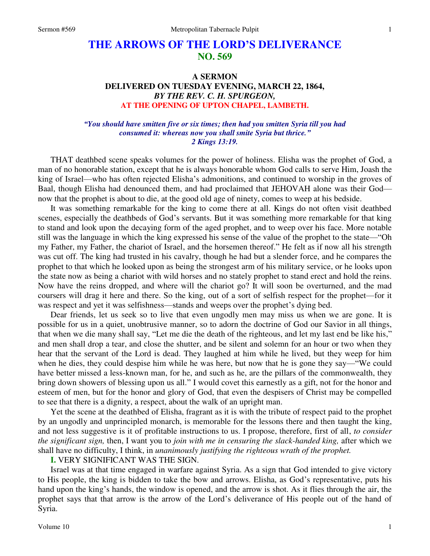# **THE ARROWS OF THE LORD'S DELIVERANCE NO. 569**

# **A SERMON DELIVERED ON TUESDAY EVENING, MARCH 22, 1864,**  *BY THE REV. C. H. SPURGEON,*  **AT THE OPENING OF UPTON CHAPEL, LAMBETH.**

#### *"You should have smitten five or six times; then had you smitten Syria till you had consumed it: whereas now you shall smite Syria but thrice." 2 Kings 13:19.*

THAT deathbed scene speaks volumes for the power of holiness. Elisha was the prophet of God, a man of no honorable station, except that he is always honorable whom God calls to serve Him, Joash the king of Israel—who has often rejected Elisha's admonitions, and continued to worship in the groves of Baal, though Elisha had denounced them, and had proclaimed that JEHOVAH alone was their God now that the prophet is about to die, at the good old age of ninety, comes to weep at his bedside.

It was something remarkable for the king to come there at all. Kings do not often visit deathbed scenes, especially the deathbeds of God's servants. But it was something more remarkable for that king to stand and look upon the decaying form of the aged prophet, and to weep over his face. More notable still was the language in which the king expressed his sense of the value of the prophet to the state—"Oh my Father, my Father, the chariot of Israel, and the horsemen thereof." He felt as if now all his strength was cut off. The king had trusted in his cavalry, though he had but a slender force, and he compares the prophet to that which he looked upon as being the strongest arm of his military service, or he looks upon the state now as being a chariot with wild horses and no stately prophet to stand erect and hold the reins. Now have the reins dropped, and where will the chariot go? It will soon be overturned, and the mad coursers will drag it here and there. So the king, out of a sort of selfish respect for the prophet—for it was respect and yet it was selfishness—stands and weeps over the prophet's dying bed.

Dear friends, let us seek so to live that even ungodly men may miss us when we are gone. It is possible for us in a quiet, unobtrusive manner, so to adorn the doctrine of God our Savior in all things, that when we die many shall say, "Let me die the death of the righteous, and let my last end be like his," and men shall drop a tear, and close the shutter, and be silent and solemn for an hour or two when they hear that the servant of the Lord is dead. They laughed at him while he lived, but they weep for him when he dies, they could despise him while he was here, but now that he is gone they say—"We could have better missed a less-known man, for he, and such as he, are the pillars of the commonwealth, they bring down showers of blessing upon us all." I would covet this earnestly as a gift, not for the honor and esteem of men, but for the honor and glory of God, that even the despisers of Christ may be compelled to see that there is a dignity, a respect, about the walk of an upright man.

Yet the scene at the deathbed of Elisha, fragrant as it is with the tribute of respect paid to the prophet by an ungodly and unprincipled monarch, is memorable for the lessons there and then taught the king, and not less suggestive is it of profitable instructions to us. I propose, therefore, first of all, *to consider the significant sign,* then, I want you to *join with me in censuring the slack-handed king,* after which we shall have no difficulty, I think, in *unanimously justifying the righteous wrath of the prophet.* 

**I.** VERY SIGNIFICANT WAS THE SIGN.

Israel was at that time engaged in warfare against Syria. As a sign that God intended to give victory to His people, the king is bidden to take the bow and arrows. Elisha, as God's representative, puts his hand upon the king's hands, the window is opened, and the arrow is shot. As it flies through the air, the prophet says that that arrow is the arrow of the Lord's deliverance of His people out of the hand of Syria.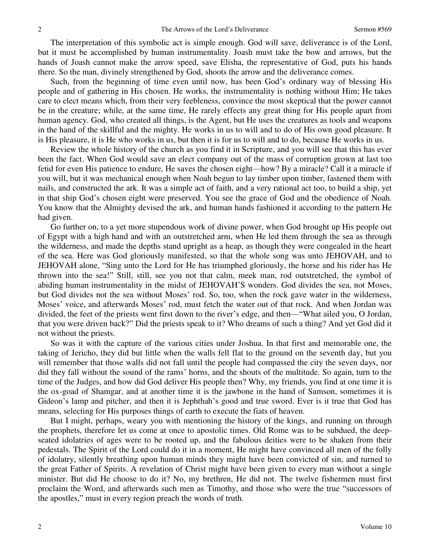The interpretation of this symbolic act is simple enough. God will save, deliverance is of the Lord, but it must be accomplished by human instrumentality. Joash must take the bow and arrows, but the hands of Joash cannot make the arrow speed, save Elisha, the representative of God, puts his hands there. So the man, divinely strengthened by God, shoots the arrow and the deliverance comes.

Such, from the beginning of time even until now, has been God's ordinary way of blessing His people and of gathering in His chosen. He works, the instrumentality is nothing without Him; He takes care to elect means which, from their very feebleness, convince the most skeptical that the power cannot be in the creature; while, at the same time, He rarely effects any great thing for His people apart from human agency. God, who created all things, is the Agent, but He uses the creatures as tools and weapons in the hand of the skillful and the mighty. He works in us to will and to do of His own good pleasure. It is His pleasure, it is He who works in us, but then it is for us to will and to do, because He works in us.

Review the whole history of the church as you find it in Scripture, and you will see that this has ever been the fact. When God would save an elect company out of the mass of corruption grown at last too fetid for even His patience to endure, He saves the chosen eight—how? By a miracle? Call it a miracle if you will, but it was mechanical enough when Noah begun to lay timber upon timber, fastened them with nails, and constructed the ark. It was a simple act of faith, and a very rational act too, to build a ship, yet in that ship God's chosen eight were preserved. You see the grace of God and the obedience of Noah. You know that the Almighty devised the ark, and human hands fashioned it according to the pattern He had given.

Go further on, to a yet more stupendous work of divine power, when God brought up His people out of Egypt with a high hand and with an outstretched arm, when He led them through the sea as through the wilderness, and made the depths stand upright as a heap, as though they were congealed in the heart of the sea. Here was God gloriously manifested, so that the whole song was unto JEHOVAH, and to JEHOVAH alone, "Sing unto the Lord for He has triumphed gloriously, the horse and his rider has He thrown into the sea!" Still, still, see you not that calm, meek man, rod outstretched, the symbol of abiding human instrumentality in the midst of JEHOVAH'S wonders. God divides the sea, not Moses, but God divides not the sea without Moses' rod. So, too, when the rock gave water in the wilderness, Moses' voice, and afterwards Moses' rod, must fetch the water out of that rock. And when Jordan was divided, the feet of the priests went first down to the river's edge, and then—"What ailed you, O Jordan, that you were driven back?" Did the priests speak to it? Who dreams of such a thing? And yet God did it not without the priests.

So was it with the capture of the various cities under Joshua. In that first and memorable one, the taking of Jericho, they did but little when the walls fell flat to the ground on the seventh day, but you will remember that those walls did not fall until the people had compassed the city the seven days, nor did they fall without the sound of the rams' horns, and the shouts of the multitude. So again, turn to the time of the Judges, and how did God deliver His people then? Why, my friends, you find at one time it is the ox-goad of Shamgar, and at another time it is the jawbone in the hand of Samson, sometimes it is Gideon's lamp and pitcher, and then it is Jephthah's good and true sword. Ever is it true that God has means, selecting for His purposes things of earth to execute the fiats of heaven.

But I might, perhaps, weary you with mentioning the history of the kings, and running on through the prophets, therefore let us come at once to apostolic times. Old Rome was to be subdued, the deepseated idolatries of ages were to be rooted up, and the fabulous deities were to be shaken from their pedestals. The Spirit of the Lord could do it in a moment, He might have convinced all men of the folly of idolatry, silently breathing upon human minds they might have been convicted of sin, and turned to the great Father of Spirits. A revelation of Christ might have been given to every man without a single minister. But did He choose to do it? No, my brethren, He did not. The twelve fishermen must first proclaim the Word, and afterwards such men as Timothy, and those who were the true "successors of the apostles," must in every region preach the words of truth.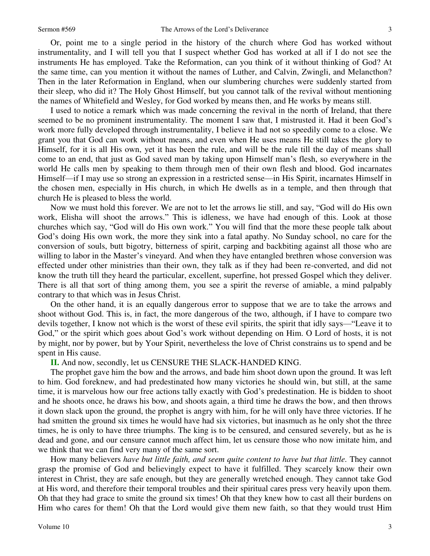Or, point me to a single period in the history of the church where God has worked without instrumentality, and I will tell you that I suspect whether God has worked at all if I do not see the instruments He has employed. Take the Reformation, can you think of it without thinking of God? At the same time, can you mention it without the names of Luther, and Calvin, Zwingli, and Melancthon? Then in the later Reformation in England, when our slumbering churches were suddenly started from their sleep, who did it? The Holy Ghost Himself, but you cannot talk of the revival without mentioning the names of Whitefield and Wesley, for God worked by means then, and He works by means still.

I used to notice a remark which was made concerning the revival in the north of Ireland, that there seemed to be no prominent instrumentality. The moment I saw that, I mistrusted it. Had it been God's work more fully developed through instrumentality, I believe it had not so speedily come to a close. We grant you that God can work without means, and even when He uses means He still takes the glory to Himself, for it is all His own, yet it has been the rule, and will be the rule till the day of means shall come to an end, that just as God saved man by taking upon Himself man's flesh, so everywhere in the world He calls men by speaking to them through men of their own flesh and blood. God incarnates Himself—if I may use so strong an expression in a restricted sense—in His Spirit, incarnates Himself in the chosen men, especially in His church, in which He dwells as in a temple, and then through that church He is pleased to bless the world.

Now we must hold this forever. We are not to let the arrows lie still, and say, "God will do His own work, Elisha will shoot the arrows." This is idleness, we have had enough of this. Look at those churches which say, "God will do His own work." You will find that the more these people talk about God's doing His own work, the more they sink into a fatal apathy. No Sunday school, no care for the conversion of souls, butt bigotry, bitterness of spirit, carping and backbiting against all those who are willing to labor in the Master's vineyard. And when they have entangled brethren whose conversion was effected under other ministries than their own, they talk as if they had been re-converted, and did not know the truth till they heard the particular, excellent, superfine, hot pressed Gospel which they deliver. There is all that sort of thing among them, you see a spirit the reverse of amiable, a mind palpably contrary to that which was in Jesus Christ.

On the other hand, it is an equally dangerous error to suppose that we are to take the arrows and shoot without God. This is, in fact, the more dangerous of the two, although, if I have to compare two devils together, I know not which is the worst of these evil spirits, the spirit that idly says—"Leave it to God," or the spirit which goes about God's work without depending on Him. O Lord of hosts, it is not by might, nor by power, but by Your Spirit, nevertheless the love of Christ constrains us to spend and be spent in His cause.

**II.** And now, secondly, let us CENSURE THE SLACK-HANDED KING.

The prophet gave him the bow and the arrows, and bade him shoot down upon the ground. It was left to him. God foreknew, and had predestinated how many victories he should win, but still, at the same time, it is marvelous how our free actions tally exactly with God's predestination. He is bidden to shoot and he shoots once, he draws his bow, and shoots again, a third time he draws the bow, and then throws it down slack upon the ground, the prophet is angry with him, for he will only have three victories. If he had smitten the ground six times he would have had six victories, but inasmuch as he only shot the three times, he is only to have three triumphs. The king is to be censured, and censured severely, but as he is dead and gone, and our censure cannot much affect him, let us censure those who now imitate him, and we think that we can find very many of the same sort.

How many believers *have but little faith, and seem quite content to have but that little.* They cannot grasp the promise of God and believingly expect to have it fulfilled. They scarcely know their own interest in Christ, they are safe enough, but they are generally wretched enough. They cannot take God at His word, and therefore their temporal troubles and their spiritual cares press very heavily upon them. Oh that they had grace to smite the ground six times! Oh that they knew how to cast all their burdens on Him who cares for them! Oh that the Lord would give them new faith, so that they would trust Him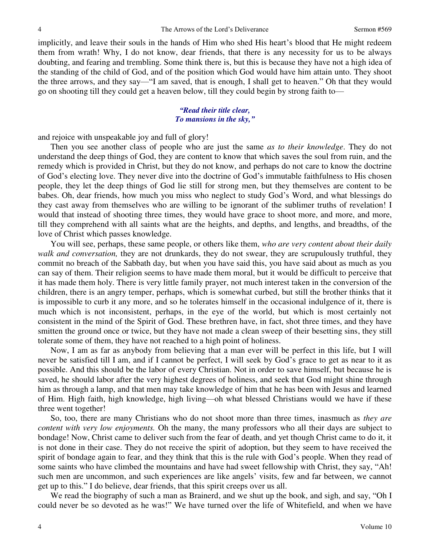implicitly, and leave their souls in the hands of Him who shed His heart's blood that He might redeem them from wrath! Why, I do not know, dear friends, that there is any necessity for us to be always doubting, and fearing and trembling. Some think there is, but this is because they have not a high idea of the standing of the child of God, and of the position which God would have him attain unto. They shoot the three arrows, and they say—"I am saved, that is enough, I shall get to heaven." Oh that they would go on shooting till they could get a heaven below, till they could begin by strong faith to—

### *"Read their title clear, To mansions in the sky,"*

and rejoice with unspeakable joy and full of glory!

Then you see another class of people who are just the same *as to their knowledge*. They do not understand the deep things of God, they are content to know that which saves the soul from ruin, and the remedy which is provided in Christ, but they do not know, and perhaps do not care to know the doctrine of God's electing love. They never dive into the doctrine of God's immutable faithfulness to His chosen people, they let the deep things of God lie still for strong men, but they themselves are content to be babes. Oh, dear friends, how much you miss who neglect to study God's Word, and what blessings do they cast away from themselves who are willing to be ignorant of the sublimer truths of revelation! I would that instead of shooting three times, they would have grace to shoot more, and more, and more, till they comprehend with all saints what are the heights, and depths, and lengths, and breadths, of the love of Christ which passes knowledge.

You will see, perhaps, these same people, or others like them, *who are very content about their daily walk and conversation,* they are not drunkards, they do not swear, they are scrupulously truthful, they commit no breach of the Sabbath day, but when you have said this, you have said about as much as you can say of them. Their religion seems to have made them moral, but it would be difficult to perceive that it has made them holy. There is very little family prayer, not much interest taken in the conversion of the children, there is an angry temper, perhaps, which is somewhat curbed, but still the brother thinks that it is impossible to curb it any more, and so he tolerates himself in the occasional indulgence of it, there is much which is not inconsistent, perhaps, in the eye of the world, but which is most certainly not consistent in the mind of the Spirit of God. These brethren have, in fact, shot three times, and they have smitten the ground once or twice, but they have not made a clean sweep of their besetting sins, they still tolerate some of them, they have not reached to a high point of holiness.

Now, I am as far as anybody from believing that a man ever will be perfect in this life, but I will never be satisfied till I am, and if I cannot be perfect, I will seek by God's grace to get as near to it as possible. And this should be the labor of every Christian. Not in order to save himself, but because he is saved, he should labor after the very highest degrees of holiness, and seek that God might shine through him as through a lamp, and that men may take knowledge of him that he has been with Jesus and learned of Him. High faith, high knowledge, high living—oh what blessed Christians would we have if these three went together!

So, too, there are many Christians who do not shoot more than three times, inasmuch as *they are content with very low enjoyments.* Oh the many, the many professors who all their days are subject to bondage! Now, Christ came to deliver such from the fear of death, and yet though Christ came to do it, it is not done in their case. They do not receive the spirit of adoption, but they seem to have received the spirit of bondage again to fear, and they think that this is the rule with God's people. When they read of some saints who have climbed the mountains and have had sweet fellowship with Christ, they say, "Ah! such men are uncommon, and such experiences are like angels' visits, few and far between, we cannot get up to this." I do believe, dear friends, that this spirit creeps over us all.

We read the biography of such a man as Brainerd, and we shut up the book, and sigh, and say, "Oh I could never be so devoted as he was!" We have turned over the life of Whitefield, and when we have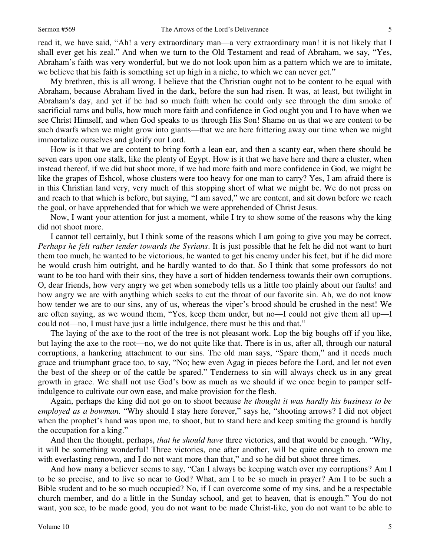read it, we have said, "Ah! a very extraordinary man—a very extraordinary man! it is not likely that I shall ever get his zeal." And when we turn to the Old Testament and read of Abraham, we say, "Yes, Abraham's faith was very wonderful, but we do not look upon him as a pattern which we are to imitate, we believe that his faith is something set up high in a niche, to which we can never get."

My brethren, this is all wrong. I believe that the Christian ought not to be content to be equal with Abraham, because Abraham lived in the dark, before the sun had risen. It was, at least, but twilight in Abraham's day, and yet if he had so much faith when he could only see through the dim smoke of sacrificial rams and bulls, how much more faith and confidence in God ought you and I to have when we see Christ Himself, and when God speaks to us through His Son! Shame on us that we are content to be such dwarfs when we might grow into giants—that we are here frittering away our time when we might immortalize ourselves and glorify our Lord.

How is it that we are content to bring forth a lean ear, and then a scanty ear, when there should be seven ears upon one stalk, like the plenty of Egypt. How is it that we have here and there a cluster, when instead thereof, if we did but shoot more, if we had more faith and more confidence in God, we might be like the grapes of Eshcol, whose clusters were too heavy for one man to carry? Yes, I am afraid there is in this Christian land very, very much of this stopping short of what we might be. We do not press on and reach to that which is before, but saying, "I am saved," we are content, and sit down before we reach the goal, or have apprehended that for which we were apprehended of Christ Jesus.

Now, I want your attention for just a moment, while I try to show some of the reasons why the king did not shoot more.

I cannot tell certainly, but I think some of the reasons which I am going to give you may be correct. *Perhaps he felt rather tender towards the Syrians*. It is just possible that he felt he did not want to hurt them too much, he wanted to be victorious, he wanted to get his enemy under his feet, but if he did more he would crush him outright, and he hardly wanted to do that. So I think that some professors do not want to be too hard with their sins, they have a sort of hidden tenderness towards their own corruptions. O, dear friends, how very angry we get when somebody tells us a little too plainly about our faults! and how angry we are with anything which seeks to cut the throat of our favorite sin. Ah, we do not know how tender we are to our sins, any of us, whereas the viper's brood should be crushed in the nest! We are often saying, as we wound them, "Yes, keep them under, but no—I could not give them all up—I could not—no, I must have just a little indulgence, there must be this and that."

The laying of the axe to the root of the tree is not pleasant work. Lop the big boughs off if you like, but laying the axe to the root—no, we do not quite like that. There is in us, after all, through our natural corruptions, a hankering attachment to our sins. The old man says, "Spare them," and it needs much grace and triumphant grace too, to say, "No; hew even Agag in pieces before the Lord, and let not even the best of the sheep or of the cattle be spared." Tenderness to sin will always check us in any great growth in grace. We shall not use God's bow as much as we should if we once begin to pamper selfindulgence to cultivate our own ease, and make provision for the flesh.

Again, perhaps the king did not go on to shoot because *he thought it was hardly his business to be employed as a bowman.* "Why should I stay here forever," says he, "shooting arrows? I did not object when the prophet's hand was upon me, to shoot, but to stand here and keep smiting the ground is hardly the occupation for a king."

And then the thought, perhaps, *that he should have* three victories, and that would be enough. "Why, it will be something wonderful! Three victories, one after another, will be quite enough to crown me with everlasting renown, and I do not want more than that," and so he did but shoot three times.

And how many a believer seems to say, "Can I always be keeping watch over my corruptions? Am I to be so precise, and to live so near to God? What, am I to be so much in prayer? Am I to be such a Bible student and to be so much occupied? No, if I can overcome some of my sins, and be a respectable church member, and do a little in the Sunday school, and get to heaven, that is enough." You do not want, you see, to be made good, you do not want to be made Christ-like, you do not want to be able to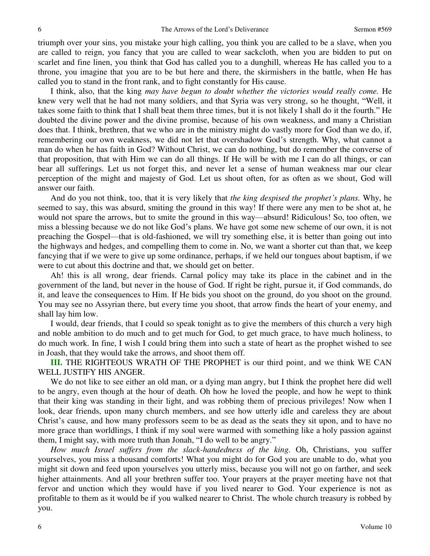triumph over your sins, you mistake your high calling, you think you are called to be a slave, when you are called to reign, you fancy that you are called to wear sackcloth, when you are bidden to put on scarlet and fine linen, you think that God has called you to a dunghill, whereas He has called you to a throne, you imagine that you are to be but here and there, the skirmishers in the battle, when He has called you to stand in the front rank, and to fight constantly for His cause.

I think, also, that the king *may have begun to doubt whether the victories would really come.* He knew very well that he had not many soldiers, and that Syria was very strong, so he thought, "Well, it takes some faith to think that I shall beat them three times, but it is not likely I shall do it the fourth." He doubted the divine power and the divine promise, because of his own weakness, and many a Christian does that. I think, brethren, that we who are in the ministry might do vastly more for God than we do, if, remembering our own weakness, we did not let that overshadow God's strength. Why, what cannot a man do when he has faith in God? Without Christ, we can do nothing, but do remember the converse of that proposition, that with Him we can do all things. If He will be with me I can do all things, or can bear all sufferings. Let us not forget this, and never let a sense of human weakness mar our clear perception of the might and majesty of God. Let us shout often, for as often as we shout, God will answer our faith.

And do you not think, too, that it is very likely that *the king despised the prophet's plans.* Why, he seemed to say, this was absurd, smiting the ground in this way! If there were any men to be shot at, he would not spare the arrows, but to smite the ground in this way—absurd! Ridiculous! So, too often, we miss a blessing because we do not like God's plans. We have got some new scheme of our own, it is not preaching the Gospel—that is old-fashioned, we will try something else, it is better than going out into the highways and hedges, and compelling them to come in. No, we want a shorter cut than that, we keep fancying that if we were to give up some ordinance, perhaps, if we held our tongues about baptism, if we were to cut about this doctrine and that, we should get on better.

Ah! this is all wrong, dear friends. Carnal policy may take its place in the cabinet and in the government of the land, but never in the house of God. If right be right, pursue it, if God commands, do it, and leave the consequences to Him. If He bids you shoot on the ground, do you shoot on the ground. You may see no Assyrian there, but every time you shoot, that arrow finds the heart of your enemy, and shall lay him low.

I would, dear friends, that I could so speak tonight as to give the members of this church a very high and noble ambition to do much and to get much for God, to get much grace, to have much holiness, to do much work. In fine, I wish I could bring them into such a state of heart as the prophet wished to see in Joash, that they would take the arrows, and shoot them off.

**III.** THE RIGHTEOUS WRATH OF THE PROPHET is our third point, and we think WE CAN WELL JUSTIFY HIS ANGER.

We do not like to see either an old man, or a dying man angry, but I think the prophet here did well to be angry, even though at the hour of death. Oh how he loved the people, and how he wept to think that their king was standing in their light, and was robbing them of precious privileges! Now when I look, dear friends, upon many church members, and see how utterly idle and careless they are about Christ's cause, and how many professors seem to be as dead as the seats they sit upon, and to have no more grace than worldlings, I think if my soul were warmed with something like a holy passion against them, I might say, with more truth than Jonah, "I do well to be angry."

*How much Israel suffers from the slack-handedness of the king.* Oh, Christians, you suffer yourselves, you miss a thousand comforts! What you might do for God you are unable to do, what you might sit down and feed upon yourselves you utterly miss, because you will not go on farther, and seek higher attainments. And all your brethren suffer too. Your prayers at the prayer meeting have not that fervor and unction which they would have if you lived nearer to God. Your experience is not as profitable to them as it would be if you walked nearer to Christ. The whole church treasury is robbed by you.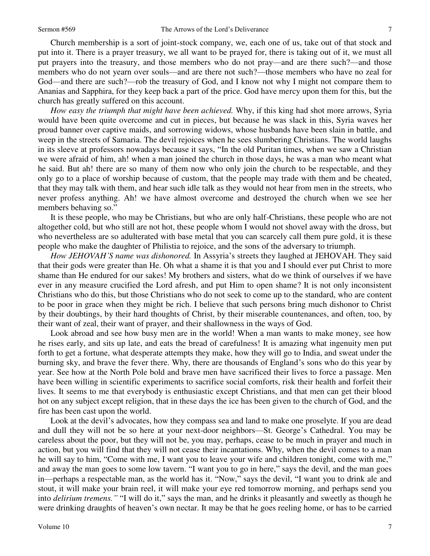Church membership is a sort of joint-stock company, we, each one of us, take out of that stock and put into it. There is a prayer treasury, we all want to be prayed for, there is taking out of it, we must all put prayers into the treasury, and those members who do not pray—and are there such?—and those members who do not yearn over souls—and are there not such?—those members who have no zeal for God—and there are such?—rob the treasury of God, and I know not why I might not compare them to Ananias and Sapphira, for they keep back a part of the price. God have mercy upon them for this, but the church has greatly suffered on this account.

*How easy the triumph that might have been achieved.* Why, if this king had shot more arrows, Syria would have been quite overcome and cut in pieces, but because he was slack in this, Syria waves her proud banner over captive maids, and sorrowing widows, whose husbands have been slain in battle, and weep in the streets of Samaria. The devil rejoices when he sees slumbering Christians. The world laughs in its sleeve at professors nowadays because it says, "In the old Puritan times, when we saw a Christian we were afraid of him, ah! when a man joined the church in those days, he was a man who meant what he said. But ah! there are so many of them now who only join the church to be respectable, and they only go to a place of worship because of custom, that the people may trade with them and be cheated, that they may talk with them, and hear such idle talk as they would not hear from men in the streets, who never profess anything. Ah! we have almost overcome and destroyed the church when we see her members behaving so."

It is these people, who may be Christians, but who are only half-Christians, these people who are not altogether cold, but who still are not hot, these people whom I would not shovel away with the dross, but who nevertheless are so adulterated with base metal that you can scarcely call them pure gold, it is these people who make the daughter of Philistia to rejoice, and the sons of the adversary to triumph.

*How JEHOVAH'S name was dishonored.* In Assyria's streets they laughed at JEHOVAH. They said that their gods were greater than He. Oh what a shame it is that you and I should ever put Christ to more shame than He endured for our sakes! My brothers and sisters, what do we think of ourselves if we have ever in any measure crucified the Lord afresh, and put Him to open shame? It is not only inconsistent Christians who do this, but those Christians who do not seek to come up to the standard, who are content to be poor in grace when they might be rich. I believe that such persons bring much dishonor to Christ by their doubtings, by their hard thoughts of Christ, by their miserable countenances, and often, too, by their want of zeal, their want of prayer, and their shallowness in the ways of God.

Look abroad and see how busy men are in the world! When a man wants to make money, see how he rises early, and sits up late, and eats the bread of carefulness! It is amazing what ingenuity men put forth to get a fortune, what desperate attempts they make, how they will go to India, and sweat under the burning sky, and brave the fever there. Why, there are thousands of England's sons who do this year by year. See how at the North Pole bold and brave men have sacrificed their lives to force a passage. Men have been willing in scientific experiments to sacrifice social comforts, risk their health and forfeit their lives. It seems to me that everybody is enthusiastic except Christians, and that men can get their blood hot on any subject except religion, that in these days the ice has been given to the church of God, and the fire has been cast upon the world.

Look at the devil's advocates, how they compass sea and land to make one proselyte. If you are dead and dull they will not be so here at your next-door neighbors—St. George's Cathedral. You may be careless about the poor, but they will not be, you may, perhaps, cease to be much in prayer and much in action, but you will find that they will not cease their incantations. Why, when the devil comes to a man he will say to him, "Come with me, I want you to leave your wife and children tonight, come with me," and away the man goes to some low tavern. "I want you to go in here," says the devil, and the man goes in—perhaps a respectable man, as the world has it. "Now," says the devil, "I want you to drink ale and stout, it will make your brain reel, it will make your eye red tomorrow morning, and perhaps send you into *delirium tremens."* "I will do it," says the man, and he drinks it pleasantly and sweetly as though he were drinking draughts of heaven's own nectar. It may be that he goes reeling home, or has to be carried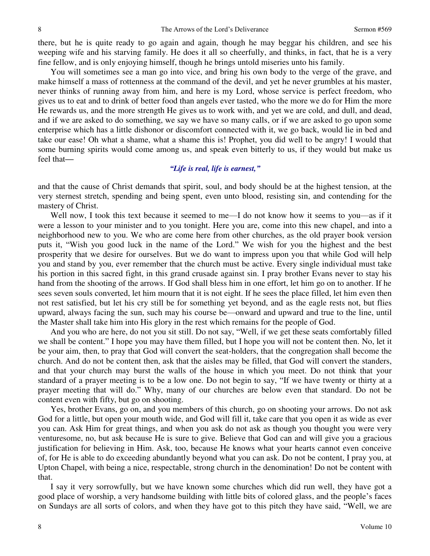there, but he is quite ready to go again and again, though he may beggar his children, and see his weeping wife and his starving family. He does it all so cheerfully, and thinks, in fact, that he is a very fine fellow, and is only enjoying himself, though he brings untold miseries unto his family.

You will sometimes see a man go into vice, and bring his own body to the verge of the grave, and make himself a mass of rottenness at the command of the devil, and yet he never grumbles at his master, never thinks of running away from him, and here is my Lord, whose service is perfect freedom, who gives us to eat and to drink of better food than angels ever tasted, who the more we do for Him the more He rewards us, and the more strength He gives us to work with, and yet we are cold, and dull, and dead, and if we are asked to do something, we say we have so many calls, or if we are asked to go upon some enterprise which has a little dishonor or discomfort connected with it, we go back, would lie in bed and take our ease! Oh what a shame, what a shame this is! Prophet, you did well to be angry! I would that some burning spirits would come among us, and speak even bitterly to us, if they would but make us feel that*—*

## *"Life is real, life is earnest,"*

and that the cause of Christ demands that spirit, soul, and body should be at the highest tension, at the very sternest stretch, spending and being spent, even unto blood, resisting sin, and contending for the mastery of Christ.

Well now, I took this text because it seemed to me—I do not know how it seems to you—as if it were a lesson to your minister and to you tonight. Here you are, come into this new chapel, and into a neighborhood new to you. We who are come here from other churches, as the old prayer book version puts it, "Wish you good luck in the name of the Lord." We wish for you the highest and the best prosperity that we desire for ourselves. But we do want to impress upon you that while God will help you and stand by you, ever remember that the church must be active. Every single individual must take his portion in this sacred fight, in this grand crusade against sin. I pray brother Evans never to stay his hand from the shooting of the arrows. If God shall bless him in one effort, let him go on to another. If he sees seven souls converted, let him mourn that it is not eight. If he sees the place filled, let him even then not rest satisfied, but let his cry still be for something yet beyond, and as the eagle rests not, but flies upward, always facing the sun, such may his course be—onward and upward and true to the line, until the Master shall take him into His glory in the rest which remains for the people of God.

And you who are here, do not you sit still. Do not say, "Well, if we get these seats comfortably filled we shall be content." I hope you may have them filled, but I hope you will not be content then. No, let it be your aim, then, to pray that God will convert the seat-holders, that the congregation shall become the church. And do not be content then, ask that the aisles may be filled, that God will convert the standers, and that your church may burst the walls of the house in which you meet. Do not think that your standard of a prayer meeting is to be a low one. Do not begin to say, "If we have twenty or thirty at a prayer meeting that will do." Why, many of our churches are below even that standard. Do not be content even with fifty, but go on shooting.

Yes, brother Evans, go on, and you members of this church, go on shooting your arrows. Do not ask God for a little, but open your mouth wide, and God will fill it, take care that you open it as wide as ever you can. Ask Him for great things, and when you ask do not ask as though you thought you were very venturesome, no, but ask because He is sure to give. Believe that God can and will give you a gracious justification for believing in Him. Ask, too, because He knows what your hearts cannot even conceive of, for He is able to do exceeding abundantly beyond what you can ask. Do not be content, I pray you, at Upton Chapel, with being a nice, respectable, strong church in the denomination! Do not be content with that.

I say it very sorrowfully, but we have known some churches which did run well, they have got a good place of worship, a very handsome building with little bits of colored glass, and the people's faces on Sundays are all sorts of colors, and when they have got to this pitch they have said, "Well, we are